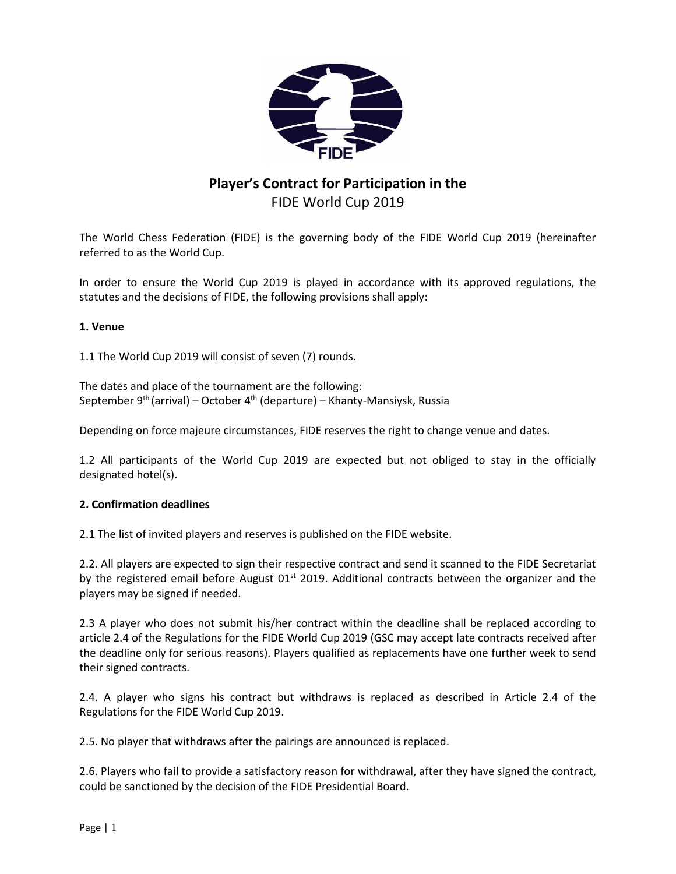

# **Player's Contract for Participation in the**  FIDE World Cup 2019

The World Chess Federation (FIDE) is the governing body of the FIDE World Cup 2019 (hereinafter referred to as the World Cup.

In order to ensure the World Cup 2019 is played in accordance with its approved regulations, the statutes and the decisions of FIDE, the following provisions shall apply:

# **1. Venue**

1.1 The World Cup 2019 will consist of seven (7) rounds.

The dates and place of the tournament are the following: September 9<sup>th</sup> (arrival) – October 4<sup>th</sup> (departure) – Khanty-Mansiysk, Russia

Depending on force majeure circumstances, FIDE reserves the right to change venue and dates.

1.2 All participants of the World Cup 2019 are expected but not obliged to stay in the officially designated hotel(s).

# **2. Confirmation deadlines**

2.1 The list of invited players and reserves is published on the FIDE website.

2.2. All players are expected to sign their respective contract and send it scanned to the FIDE Secretariat by the registered email before August  $01<sup>st</sup>$  2019. Additional contracts between the organizer and the players may be signed if needed.

2.3 A player who does not submit his/her contract within the deadline shall be replaced according to article 2.4 of the Regulations for the FIDE World Cup 2019 (GSC may accept late contracts received after the deadline only for serious reasons). Players qualified as replacements have one further week to send their signed contracts.

2.4. A player who signs his contract but withdraws is replaced as described in Article 2.4 of the Regulations for the FIDE World Cup 2019.

2.5. No player that withdraws after the pairings are announced is replaced.

2.6. Players who fail to provide a satisfactory reason for withdrawal, after they have signed the contract, could be sanctioned by the decision of the FIDE Presidential Board.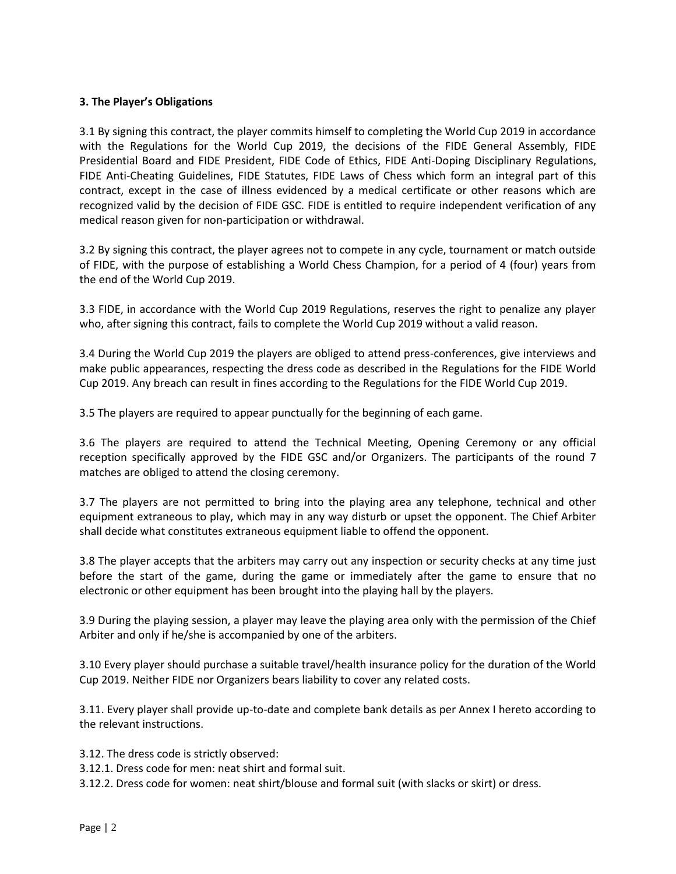### **3. The Player's Obligations**

3.1 By signing this contract, the player commits himself to completing the World Cup 2019 in accordance with the Regulations for the World Cup 2019, the decisions of the FIDE General Assembly, FIDE Presidential Board and FIDE President, FIDE Code of Ethics, FIDE Anti-Doping Disciplinary Regulations, FIDE Anti-Сheating Guidelines, FIDE Statutes, FIDE Laws of Chess which form an integral part of this contract, except in the case of illness evidenced by a medical certificate or other reasons which are recognized valid by the decision of FIDE GSC. FIDE is entitled to require independent verification of any medical reason given for non-participation or withdrawal.

3.2 By signing this contract, the player agrees not to compete in any cycle, tournament or match outside of FIDE, with the purpose of establishing a World Chess Champion, for a period of 4 (four) years from the end of the World Cup 2019.

3.3 FIDE, in accordance with the World Cup 2019 Regulations, reserves the right to penalize any player who, after signing this contract, fails to complete the World Cup 2019 without a valid reason.

3.4 During the World Cup 2019 the players are obliged to attend press-conferences, give interviews and make public appearances, respecting the dress code as described in the Regulations for the FIDE World Cup 2019. Any breach can result in fines according to the Regulations for the FIDE World Cup 2019.

3.5 The players are required to appear punctually for the beginning of each game.

3.6 The players are required to attend the Technical Meeting, Opening Ceremony or any official reception specifically approved by the FIDE GSC and/or Organizers. The participants of the round 7 matches are obliged to attend the closing ceremony.

3.7 The players are not permitted to bring into the playing area any telephone, technical and other equipment extraneous to play, which may in any way disturb or upset the opponent. The Chief Arbiter shall decide what constitutes extraneous equipment liable to offend the opponent.

3.8 The player accepts that the arbiters may carry out any inspection or security checks at any time just before the start of the game, during the game or immediately after the game to ensure that no electronic or other equipment has been brought into the playing hall by the players.

3.9 During the playing session, a player may leave the playing area only with the permission of the Chief Arbiter and only if he/she is accompanied by one of the arbiters.

3.10 Every player should purchase a suitable travel/health insurance policy for the duration of the World Cup 2019. Neither FIDE nor Organizers bears liability to cover any related costs.

3.11. Every player shall provide up-to-date and complete bank details as per Annex I hereto according to the relevant instructions.

3.12. The dress code is strictly observed:

3.12.1. Dress code for men: neat shirt and formal suit.

3.12.2. Dress code for women: neat shirt/blouse and formal suit (with slacks or skirt) or dress.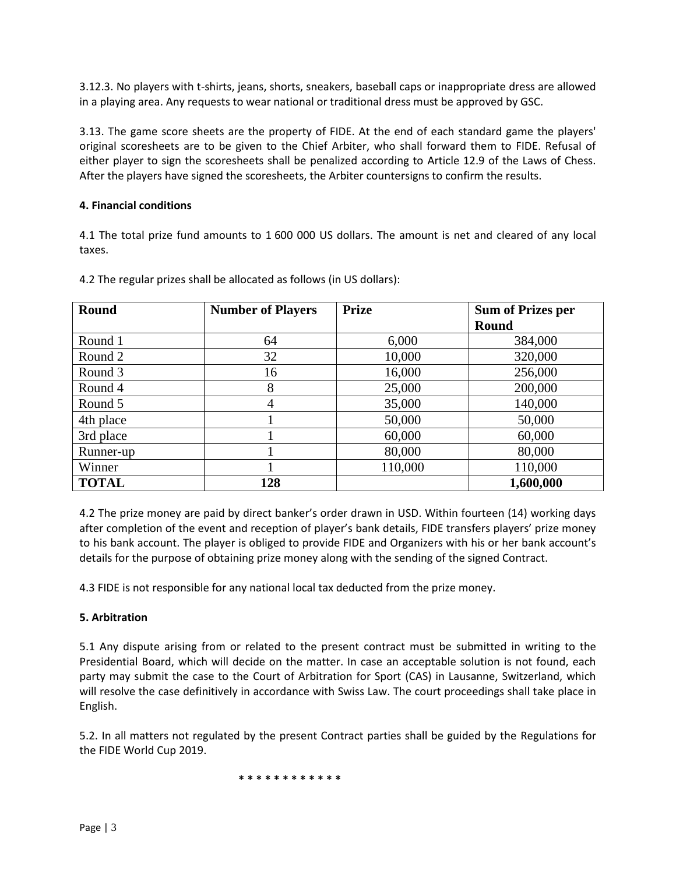3.12.3. No players with t-shirts, jeans, shorts, sneakers, baseball caps or inappropriate dress are allowed in a playing area. Any requests to wear national or traditional dress must be approved by GSC.

3.13. The game score sheets are the property of FIDE. At the end of each standard game the players' original scoresheets are to be given to the Chief Arbiter, who shall forward them to FIDE. Refusal of either player to sign the scoresheets shall be penalized according to Article 12.9 of the Laws of Chess. After the players have signed the scoresheets, the Arbiter countersigns to confirm the results.

# **4. Financial conditions**

4.1 The total prize fund amounts to 1 600 000 US dollars. The amount is net and cleared of any local taxes.

| <b>Round</b> | <b>Number of Players</b> | <b>Prize</b> | <b>Sum of Prizes per</b> |
|--------------|--------------------------|--------------|--------------------------|
|              |                          |              | <b>Round</b>             |
| Round 1      | 64                       | 6,000        | 384,000                  |
| Round 2      | 32                       | 10,000       | 320,000                  |
| Round 3      | 16                       | 16,000       | 256,000                  |
| Round 4      | 8                        | 25,000       | 200,000                  |
| Round 5      | 4                        | 35,000       | 140,000                  |
| 4th place    |                          | 50,000       | 50,000                   |
| 3rd place    |                          | 60,000       | 60,000                   |
| Runner-up    |                          | 80,000       | 80,000                   |
| Winner       |                          | 110,000      | 110,000                  |
| <b>TOTAL</b> | 128                      |              | 1,600,000                |

4.2 The regular prizes shall be allocated as follows (in US dollars):

4.2 The prize money are paid by direct banker's order drawn in USD. Within fourteen (14) working days after completion of the event and reception of player's bank details, FIDE transfers players' prize money to his bank account. The player is obliged to provide FIDE and Organizers with his or her bank account's details for the purpose of obtaining prize money along with the sending of the signed Contract.

4.3 FIDE is not responsible for any national local tax deducted from the prize money.

# **5. Arbitration**

5.1 Any dispute arising from or related to the present contract must be submitted in writing to the Presidential Board, which will decide on the matter. In case an acceptable solution is not found, each party may submit the case to the Court of Arbitration for Sport (CAS) in Lausanne, Switzerland, which will resolve the case definitively in accordance with Swiss Law. The court proceedings shall take place in English.

5.2. In all matters not regulated by the present Contract parties shall be guided by the Regulations for the FIDE World Cup 2019.

**\* \* \* \* \* \* \* \* \* \* \* \***